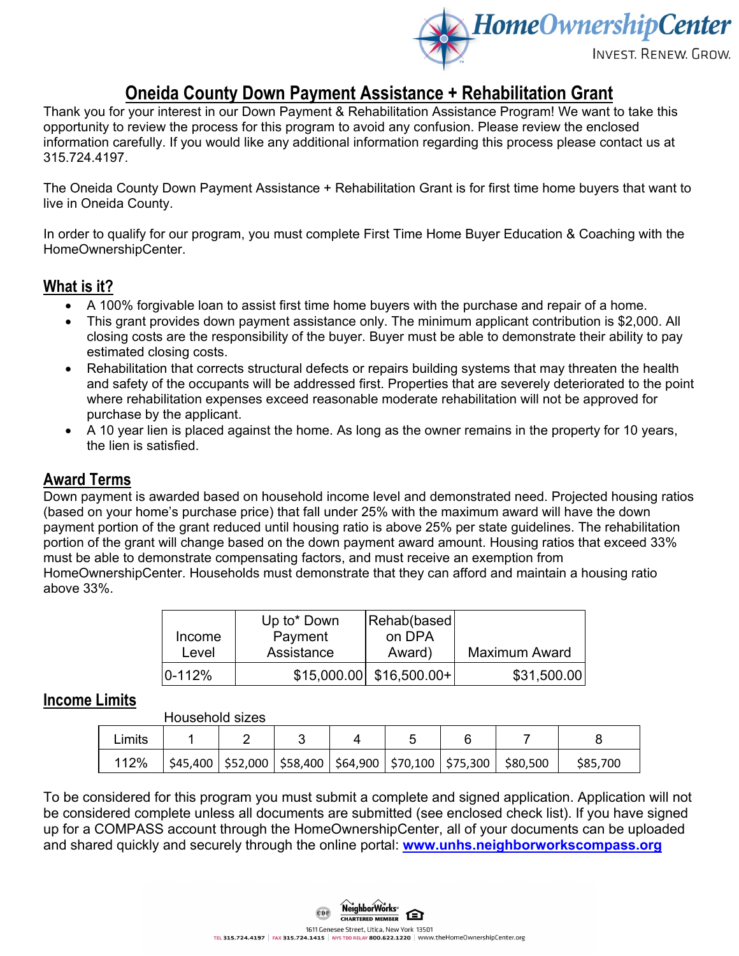

# **Oneida County Down Payment Assistance + Rehabilitation Grant**

Thank you for your interest in our Down Payment & Rehabilitation Assistance Program! We want to take this opportunity to review the process for this program to avoid any confusion. Please review the enclosed information carefully. If you would like any additional information regarding this process please contact us at 315.724.4197.

The Oneida County Down Payment Assistance + Rehabilitation Grant is for first time home buyers that want to live in Oneida County.

In order to qualify for our program, you must complete First Time Home Buyer Education & Coaching with the HomeOwnershipCenter.

## **What is it?**

- A 100% forgivable loan to assist first time home buyers with the purchase and repair of a home.
- This grant provides down payment assistance only. The minimum applicant contribution is \$2,000. All closing costs are the responsibility of the buyer. Buyer must be able to demonstrate their ability to pay estimated closing costs.
- Rehabilitation that corrects structural defects or repairs building systems that may threaten the health and safety of the occupants will be addressed first. Properties that are severely deteriorated to the point where rehabilitation expenses exceed reasonable moderate rehabilitation will not be approved for purchase by the applicant.
- A 10 year lien is placed against the home. As long as the owner remains in the property for 10 years, the lien is satisfied.

### **Award Terms**

Down payment is awarded based on household income level and demonstrated need. Projected housing ratios (based on your home's purchase price) that fall under 25% with the maximum award will have the down payment portion of the grant reduced until housing ratio is above 25% per state guidelines. The rehabilitation portion of the grant will change based on the down payment award amount. Housing ratios that exceed 33% must be able to demonstrate compensating factors, and must receive an exemption from HomeOwnershipCenter. Households must demonstrate that they can afford and maintain a housing ratio above 33%.

|            | Up to* Down | Rehab(based)               |                      |
|------------|-------------|----------------------------|----------------------|
| Income     | Payment     | on DPA                     |                      |
| Level      | Assistance  | Award)                     | <b>Maximum Award</b> |
| $0 - 112%$ |             | $$15,000.00$ $$16,500.00+$ | \$31,500.00          |

### **Income Limits**

| <b>Household sizes</b> |  |
|------------------------|--|
|                        |  |

|        | י יששע שושיושטו ו |  |  |                                                                             |          |  |
|--------|-------------------|--|--|-----------------------------------------------------------------------------|----------|--|
| Limits |                   |  |  |                                                                             |          |  |
| 112%   |                   |  |  | $$45,400$   \$52,000   \$58,400   \$64,900   \$70,100   \$75,300   \$80,500 | \$85,700 |  |

To be considered for this program you must submit a complete and signed application. Application will not be considered complete unless all documents are submitted (see enclosed check list). If you have signed up for a COMPASS account through the HomeOwnershipCenter, all of your documents can be uploaded and shared quickly and securely through the online portal: **[www.unhs.neighborworkscompass.org](http://www.unhs.neighborworkscompass.org/)**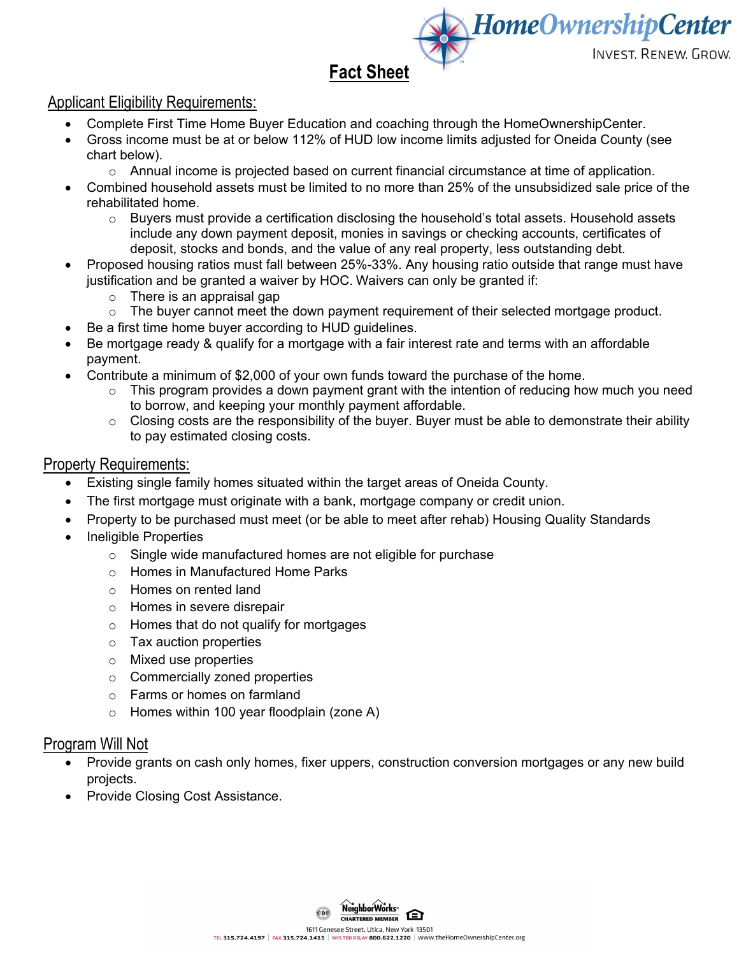**INVEST, RENEW. GROW.** 

**HomeOwnershipCenter** 

# **Fact Sheet**

# Applicant Eligibility Requirements:

- Complete First Time Home Buyer Education and coaching through the HomeOwnershipCenter.
- Gross income must be at or below 112% of HUD low income limits adjusted for Oneida County (see chart below).
	- o Annual income is projected based on current financial circumstance at time of application.
- Combined household assets must be limited to no more than 25% of the unsubsidized sale price of the rehabilitated home.
	- $\circ$  Buyers must provide a certification disclosing the household's total assets. Household assets include any down payment deposit, monies in savings or checking accounts, certificates of deposit, stocks and bonds, and the value of any real property, less outstanding debt.
- Proposed housing ratios must fall between 25%-33%. Any housing ratio outside that range must have justification and be granted a waiver by HOC. Waivers can only be granted if:
	- $\circ$  There is an appraisal gap<br> $\circ$  The buver cannot meet the
	- The buyer cannot meet the down payment requirement of their selected mortgage product.
- Be a first time home buyer according to HUD guidelines.
- Be mortgage ready & qualify for a mortgage with a fair interest rate and terms with an affordable payment.
- Contribute a minimum of \$2,000 of your own funds toward the purchase of the home.
	- $\circ$  This program provides a down payment grant with the intention of reducing how much you need to borrow, and keeping your monthly payment affordable.
	- $\circ$  Closing costs are the responsibility of the buyer. Buyer must be able to demonstrate their ability to pay estimated closing costs.

#### Property Requirements:

- Existing single family homes situated within the target areas of Oneida County.
- The first mortgage must originate with a bank, mortgage company or credit union.
- Property to be purchased must meet (or be able to meet after rehab) Housing Quality Standards
- Ineligible Properties
	- o Single wide manufactured homes are not eligible for purchase
	- o Homes in Manufactured Home Parks
	- o Homes on rented land
	- o Homes in severe disrepair
	- o Homes that do not qualify for mortgages
	- o Tax auction properties
	- o Mixed use properties
	- o Commercially zoned properties
	- o Farms or homes on farmland
	- o Homes within 100 year floodplain (zone A)

#### Program Will Not

- Provide grants on cash only homes, fixer uppers, construction conversion mortgages or any new build projects.
- Provide Closing Cost Assistance.